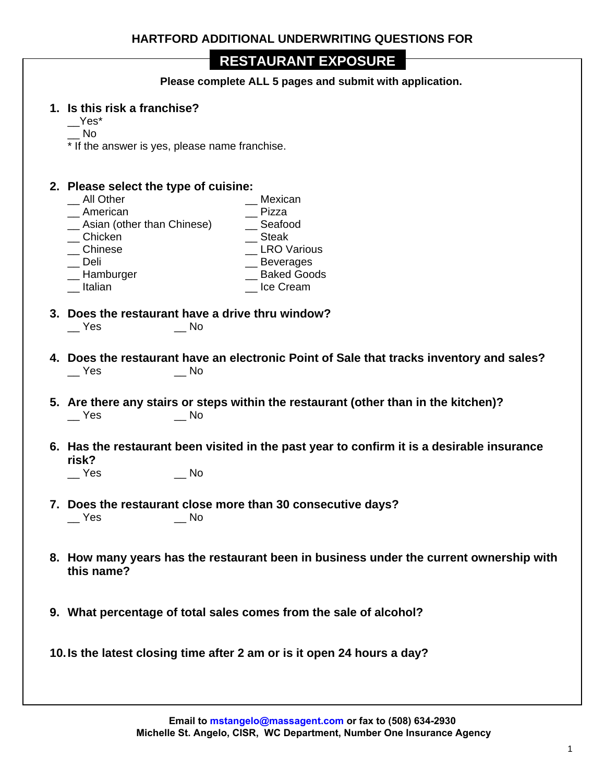**Please complete ALL 5 pages and submit with application.** 

#### **1. Is this risk a franchise?**

 $\mathsf{\_}Y$ es\*

\_\_ No

\* If the answer is yes, please name franchise.

# **2. Please select the type of cuisine:**

- \_\_ Mexican<br>\_\_ Pizza <sup>1</sup><br>
20 American (other than Chinese) <sup>2</sup> Beafood <sup>2</sup> Asian (other than Chinese) <sup>2</sup> Beafor<br><sup>2</sup> Steak Steak \_\_ Chicken<br>\_\_ Chinese \_ LRO Various \_\_ Deli \_\_ \_\_ \_\_ \_\_ \_\_ \_\_ \_\_ \_\_ Beverages<br>\_\_ Hamburger \_\_\_ \_\_ \_\_ \_\_ \_\_ \_ \_ \_ \_ Baked Goo  $\_$  Baked Goods \_\_ Italian \_\_ Ice Cream
- **3. Does the restaurant have a drive thru window?** \_\_ Yes \_\_ No
- **4. Does the restaurant have an electronic Point of Sale that tracks inventory and sales?** \_\_ Yes \_\_ No
- **5. Are there any stairs or steps within the restaurant (other than in the kitchen)?** \_\_ Yes \_\_ No
- **6. Has the restaurant been visited in the past year to confirm it is a desirable insurance risk?**

\_\_ Yes \_\_ No

- **7. Does the restaurant close more than 30 consecutive days?** \_\_ Yes \_\_ No
- **8. How many years has the restaurant been in business under the current ownership with this name?**
- **9. What percentage of total sales comes from the sale of alcohol?**

**10. Is the latest closing time after 2 am or is it open 24 hours a day?**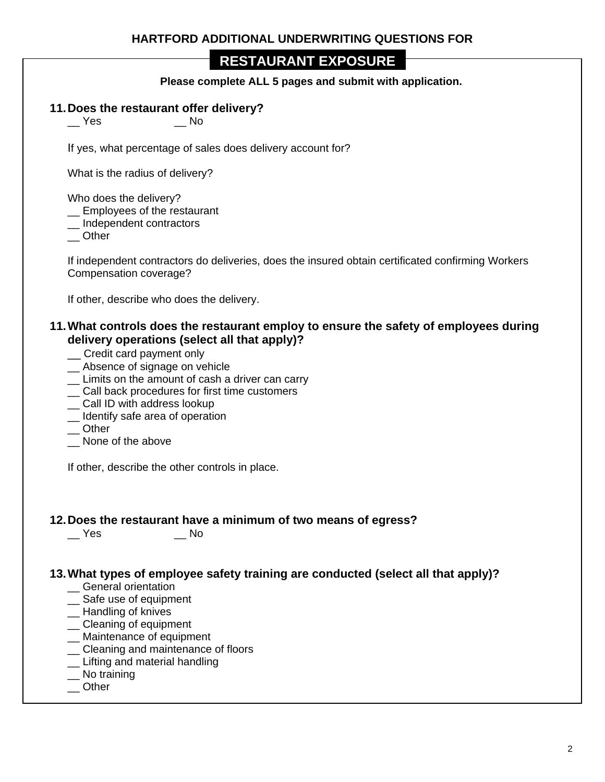**Please complete ALL 5 pages and submit with application.** 

#### **11. Does the restaurant offer delivery?**

\_\_ Yes \_\_ No

If yes, what percentage of sales does delivery account for?

What is the radius of delivery?

Who does the delivery?

\_\_ Employees of the restaurant

\_\_ Independent contractors

\_\_ Other

If independent contractors do deliveries, does the insured obtain certificated confirming Workers Compensation coverage?

If other, describe who does the delivery.

#### **11. What controls does the restaurant employ to ensure the safety of employees during delivery operations (select all that apply)?**

- \_\_ Credit card payment only
- \_\_ Absence of signage on vehicle
- \_\_ Limits on the amount of cash a driver can carry
- \_\_ Call back procedures for first time customers
- \_\_ Call ID with address lookup
- \_\_ Identify safe area of operation
- \_\_ Other
- None of the above

If other, describe the other controls in place.

# **12. Does the restaurant have a minimum of two means of egress?**

 $\overline{\phantom{a}}$  Yes

## **13. What types of employee safety training are conducted (select all that apply)?**

- \_\_ General orientation
- \_\_ Safe use of equipment
- \_\_ Handling of knives
- \_\_ Cleaning of equipment
- \_\_ Maintenance of equipment
- \_\_ Cleaning and maintenance of floors
- \_\_ Lifting and material handling
- \_\_ No training
- \_\_ Other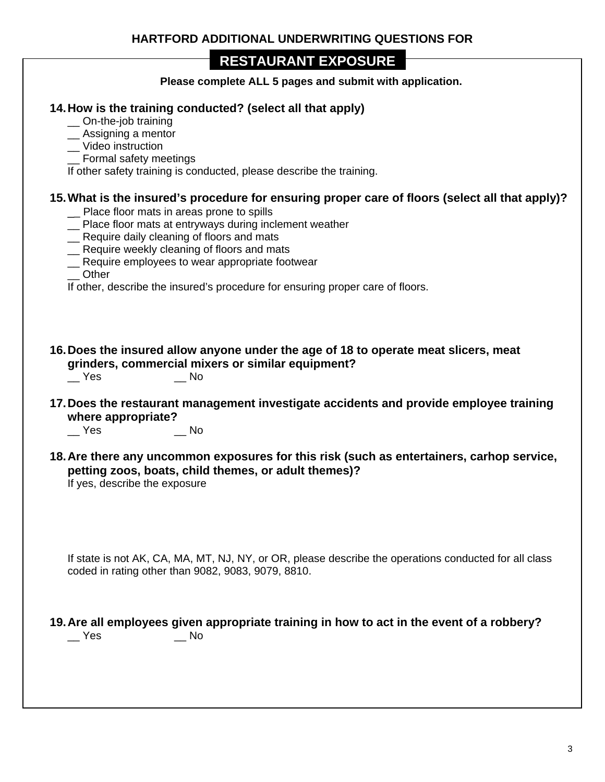**Please complete ALL 5 pages and submit with application.** 

### **14. How is the training conducted? (select all that apply)**

\_\_ On-the-job training

\_\_ Assigning a mentor

- \_\_ Video instruction
- \_\_ Formal safety meetings

If other safety training is conducted, please describe the training.

### **15. What is the insured's procedure for ensuring proper care of floors (select all that apply)?**

- Place floor mats in areas prone to spills
- \_\_ Place floor mats at entryways during inclement weather
- \_\_ Require daily cleaning of floors and mats
- \_\_ Require weekly cleaning of floors and mats
- \_\_ Require employees to wear appropriate footwear

\_\_ Other

If other, describe the insured's procedure for ensuring proper care of floors.

**16. Does the insured allow anyone under the age of 18 to operate meat slicers, meat grinders, commercial mixers or similar equipment?**

\_\_ Yes \_\_ No

**17. Does the restaurant management investigate accidents and provide employee training where appropriate?**

\_\_ Yes \_\_ No

**18. Are there any uncommon exposures for this risk (such as entertainers, carhop service, petting zoos, boats, child themes, or adult themes)?**

If yes, describe the exposure

If state is not AK, CA, MA, MT, NJ, NY, or OR, please describe the operations conducted for all class coded in rating other than 9082, 9083, 9079, 8810.

**19. Are all employees given appropriate training in how to act in the event of a robbery?** \_\_ Yes \_\_ No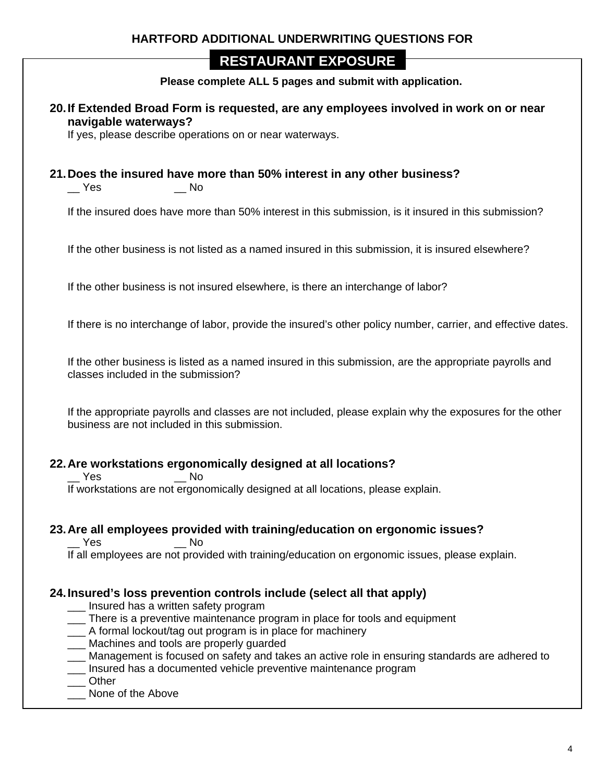## **HARTFORD ADDITIONAL UNDERWRITING QUESTIONS FOR**

## **RESTAURANT EXPOSURE**

**Please complete ALL 5 pages and submit with application.** 

**20. If Extended Broad Form is requested, are any employees involved in work on or near navigable waterways?**

If yes, please describe operations on or near waterways.

#### **21. Does the insured have more than 50% interest in any other business?**

\_\_ Yes \_\_ No

If the insured does have more than 50% interest in this submission, is it insured in this submission?

If the other business is not listed as a named insured in this submission, it is insured elsewhere?

If the other business is not insured elsewhere, is there an interchange of labor?

If there is no interchange of labor, provide the insured's other policy number, carrier, and effective dates.

If the other business is listed as a named insured in this submission, are the appropriate payrolls and classes included in the submission?

If the appropriate payrolls and classes are not included, please explain why the exposures for the other business are not included in this submission.

#### **22. Are workstations ergonomically designed at all locations?**

\_\_ Yes \_\_ No

If workstations are not ergonomically designed at all locations, please explain.

#### **23. Are all employees provided with training/education on ergonomic issues?**

Yes No If all employees are not provided with training/education on ergonomic issues, please explain.

#### **24. Insured's loss prevention controls include (select all that apply)**

- \_\_\_ Insured has a written safety program
- \_\_\_ There is a preventive maintenance program in place for tools and equipment
- A formal lockout/tag out program is in place for machinery
- \_\_\_ Machines and tools are properly guarded
- \_\_\_ Management is focused on safety and takes an active role in ensuring standards are adhered to
- \_\_\_ Insured has a documented vehicle preventive maintenance program
- \_\_\_ Other
- None of the Above